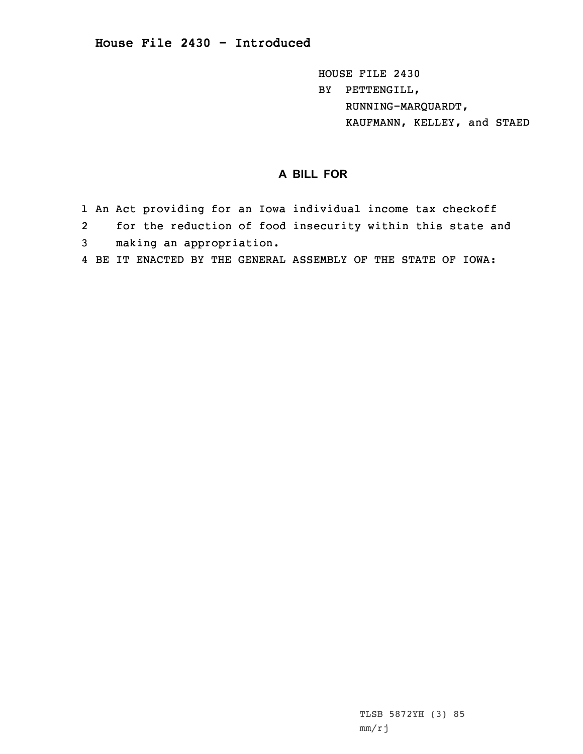HOUSE FILE 2430 BY PETTENGILL, RUNNING-MARQUARDT, KAUFMANN, KELLEY, and STAED

## **A BILL FOR**

- 1 An Act providing for an Iowa individual income tax checkoff
- 2for the reduction of food insecurity within this state and
- 3 making an appropriation.
- 4 BE IT ENACTED BY THE GENERAL ASSEMBLY OF THE STATE OF IOWA: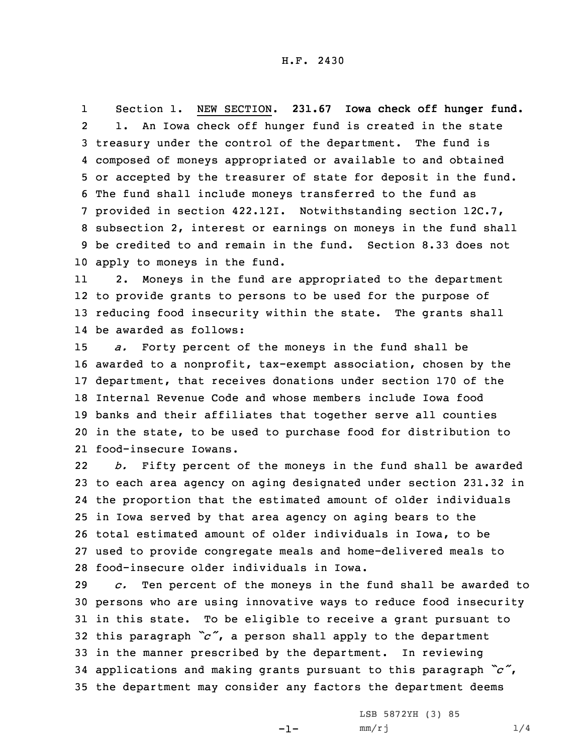1 Section 1. NEW SECTION. **231.67 Iowa check off hunger fund.** 2 1. An Iowa check off hunger fund is created in the state treasury under the control of the department. The fund is composed of moneys appropriated or available to and obtained or accepted by the treasurer of state for deposit in the fund. The fund shall include moneys transferred to the fund as provided in section 422.12I. Notwithstanding section 12C.7, subsection 2, interest or earnings on moneys in the fund shall be credited to and remain in the fund. Section 8.33 does not apply to moneys in the fund.

11 2. Moneys in the fund are appropriated to the department 12 to provide grants to persons to be used for the purpose of 13 reducing food insecurity within the state. The grants shall 14 be awarded as follows:

 *a.* Forty percent of the moneys in the fund shall be awarded to <sup>a</sup> nonprofit, tax-exempt association, chosen by the department, that receives donations under section 170 of the Internal Revenue Code and whose members include Iowa food banks and their affiliates that together serve all counties in the state, to be used to purchase food for distribution to food-insecure Iowans.

22 *b.* Fifty percent of the moneys in the fund shall be awarded to each area agency on aging designated under section 231.32 in the proportion that the estimated amount of older individuals in Iowa served by that area agency on aging bears to the total estimated amount of older individuals in Iowa, to be used to provide congregate meals and home-delivered meals to food-insecure older individuals in Iowa.

 *c.* Ten percent of the moneys in the fund shall be awarded to persons who are using innovative ways to reduce food insecurity in this state. To be eligible to receive <sup>a</sup> grant pursuant to this paragraph *"c"*, <sup>a</sup> person shall apply to the department in the manner prescribed by the department. In reviewing applications and making grants pursuant to this paragraph *"c"*, the department may consider any factors the department deems

-1-

LSB 5872YH (3) 85  $mm/rj$  1/4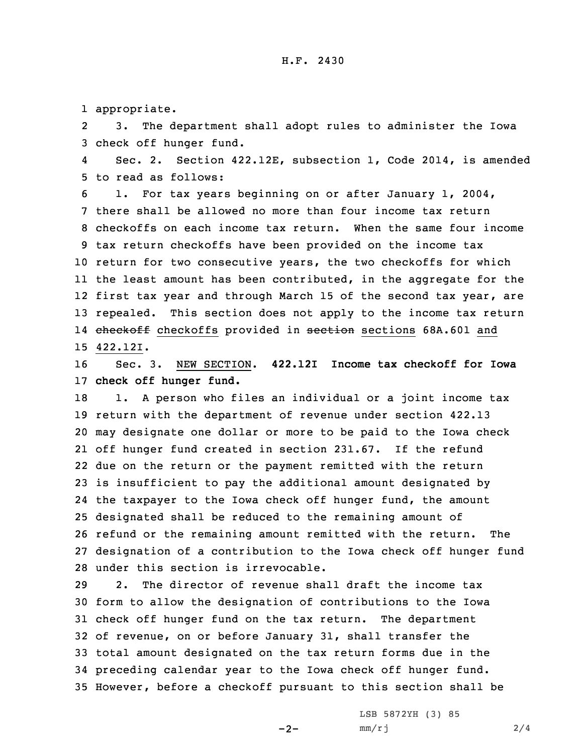1 appropriate.

2 3. The department shall adopt rules to administer the Iowa 3 check off hunger fund.

4 Sec. 2. Section 422.12E, subsection 1, Code 2014, is amended 5 to read as follows:

 1. For tax years beginning on or after January 1, 2004, there shall be allowed no more than four income tax return checkoffs on each income tax return. When the same four income tax return checkoffs have been provided on the income tax return for two consecutive years, the two checkoffs for which the least amount has been contributed, in the aggregate for the first tax year and through March 15 of the second tax year, are repealed. This section does not apply to the income tax return 14 <del>checkoff</del> checkoffs provided in <del>section</del> sections 68A.601 and 15 422.12I.

16 Sec. 3. NEW SECTION. **422.12I Income tax checkoff for Iowa** 17 **check off hunger fund.**

18 1. A person who files an individual or a joint income tax return with the department of revenue under section 422.13 may designate one dollar or more to be paid to the Iowa check off hunger fund created in section 231.67. If the refund due on the return or the payment remitted with the return is insufficient to pay the additional amount designated by the taxpayer to the Iowa check off hunger fund, the amount designated shall be reduced to the remaining amount of refund or the remaining amount remitted with the return. The designation of <sup>a</sup> contribution to the Iowa check off hunger fund under this section is irrevocable.

 2. The director of revenue shall draft the income tax form to allow the designation of contributions to the Iowa check off hunger fund on the tax return. The department of revenue, on or before January 31, shall transfer the total amount designated on the tax return forms due in the preceding calendar year to the Iowa check off hunger fund. However, before <sup>a</sup> checkoff pursuant to this section shall be

 $-2-$ 

LSB 5872YH (3) 85  $mm/rj$  2/4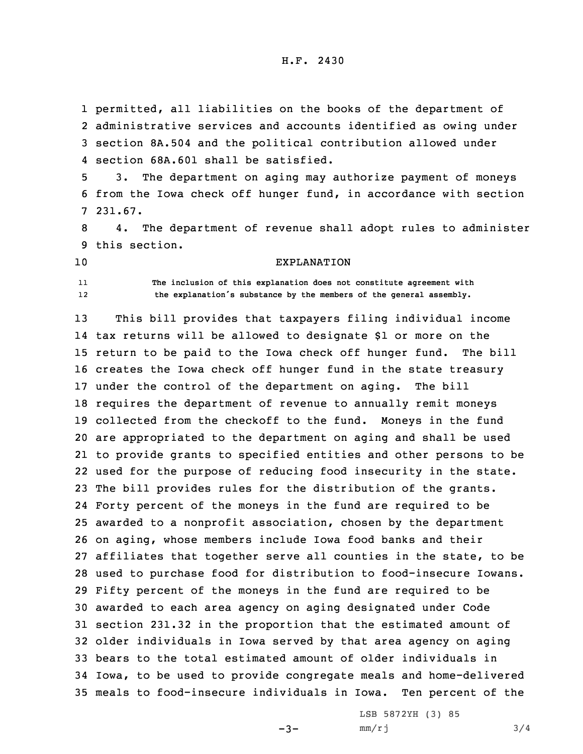permitted, all liabilities on the books of the department of administrative services and accounts identified as owing under section 8A.504 and the political contribution allowed under section 68A.601 shall be satisfied.

5 3. The department on aging may authorize payment of moneys 6 from the Iowa check off hunger fund, in accordance with section 7 231.67.

8 4. The department of revenue shall adopt rules to administer 9 this section.

10 EXPLANATION

1112  **The inclusion of this explanation does not constitute agreement with the explanation's substance by the members of the general assembly.**

 This bill provides that taxpayers filing individual income tax returns will be allowed to designate \$1 or more on the return to be paid to the Iowa check off hunger fund. The bill creates the Iowa check off hunger fund in the state treasury under the control of the department on aging. The bill requires the department of revenue to annually remit moneys collected from the checkoff to the fund. Moneys in the fund are appropriated to the department on aging and shall be used to provide grants to specified entities and other persons to be used for the purpose of reducing food insecurity in the state. The bill provides rules for the distribution of the grants. Forty percent of the moneys in the fund are required to be awarded to <sup>a</sup> nonprofit association, chosen by the department on aging, whose members include Iowa food banks and their affiliates that together serve all counties in the state, to be used to purchase food for distribution to food-insecure Iowans. Fifty percent of the moneys in the fund are required to be awarded to each area agency on aging designated under Code section 231.32 in the proportion that the estimated amount of older individuals in Iowa served by that area agency on aging bears to the total estimated amount of older individuals in Iowa, to be used to provide congregate meals and home-delivered meals to food-insecure individuals in Iowa. Ten percent of the

 $-3-$ 

LSB 5872YH (3) 85  $mm/rj$  3/4